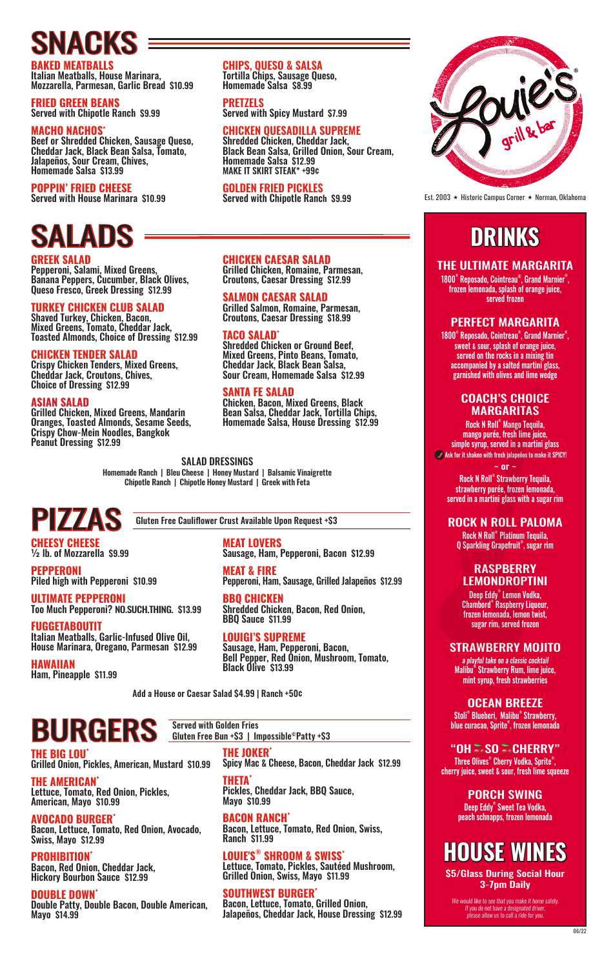# SNACKS

**BAKED MEATBALLS** Italian Meatballs, House Marinara, Mozzarella, Parmesan, Garlic Bread \$10.99

**FRIED GREEN BEANS** Served with Chipotle Ranch \$9.99

#### **MACHO NACHOS\***

Beef or Shredded Chicken, Sausage Queso, Cheddar Jack, Black Bean Salsa, Tomato, Jalapeños, Sour Cream, Chives, Homemade Salsa \$13.99

#### **POPPIN' FRIED CHEESE**

Served with House Marinara \$10.99

# SALADS

**GREEK SALAD** Pepperoni, Salami, Mixed Greens, Banana Peppers, Cucumber, Black Olives, Queso Fresco, Greek Dressing \$12.99

#### **TURKEY CHICKEN CLUB SALAD**

Shaved Turkey, Chicken, Bacon, Mixed Greens, Tomato, Cheddar Jack, Toasted Almonds, Choice of Dressing \$12.99

#### **CHICKEN TENDER SALAD**

Crispy Chicken Tenders, Mixed Greens, Cheddar Jack, Croutons, Chives, Choice of Dressing \$12.99

#### **ASIAN SALAD**

Grilled Chicken, Mixed Greens, Mandarin Oranges, Toasted Almonds, Sesame Seeds, Crispy Chow-Mein Noodles, Bangkok Peanut Dressing \$12.99

**CHIPS, QUESO & SALSA** Tortilla Chips, Sausage Queso, Homemade Salsa \$8.99

**PRETZELS**

Served with Spicy Mustard \$7.99

#### **CHICKEN QUESADILLA SUPREME**

Shredded Chicken, Cheddar Jack, Black Bean Salsa, Grilled Onion, Sour Cream, Homemade Salsa \$12.99 MAKE IT SKIRT STEAK\* +99¢

#### **GOLDEN FRIED PICKLES**

Served with Chipotle Ranch \$9.99

#### **CHICKEN CAESAR SALAD**

Grilled Chicken, Romaine, Parmesan, Croutons, Caesar Dressing \$12.99

#### **SALMON CAESAR SALAD**

Grilled Salmon, Romaine, Parmesan, Croutons, Caesar Dressing \$18.99

#### **TACO SALAD\***

Shredded Chicken or Ground Beef, Mixed Greens, Pinto Beans, Tomato, Cheddar Jack, Black Bean Salsa, Sour Cream, Homemade Salsa \$12.99

#### **SANTA FE SALAD**

Chicken, Bacon, Mixed Greens, Black Bean Salsa, Cheddar Jack, Tortilla Chips, Homemade Salsa, House Dressing \$12.99

SALAD DRESSINGS Homemade Ranch | Bleu Cheese | Honey Mustard | Balsamic Vinaigrette Chipotle Ranch | Chipotle Honey Mustard | Greek with Feta

### PIZZAS

**CHEESY CHEESE**<br><sup>1/2</sup> lb. of Mozzarella \$9.99

**PEPPERONI** Piled high with Pepperoni \$10.99

**ULTIMATE PEPPERONI** Too Much Pepperoni? NO.SUCH.THING. \$13.99

**FUGGETABOUTIT** Italian Meatballs, Garlic-Infused Olive Oil, House Marinara, Oregano, Parmesan \$12.99

**HAWAIIAN** Ham, Pineapple \$11.99 Gluten Free Cauliflower Crust Available Upon Request +\$3

**MEAT LOVERS** Sausage, Ham, Pepperoni, Bacon \$12.99

**MEAT & FIRE** Pepperoni, Ham, Sausage, Grilled Jalapeños \$12.99

**BBQ CHICKEN** Shredded Chicken, Bacon, Red Onion, BBQ Sauce \$11.99

**LOUIGI'S SUPREME** Sausage, Ham, Pepperoni, Bacon, Bell Pepper, Red Onion, Mushroom, Tomato, Black Olive \$13.99

Add a House or Caesar Salad \$4.99 | Ranch +50¢

Served with Golden Fries

Gluten Free Bun +\$3 | Impossible<sup>®</sup>Patty +\$3

### BURGERS

**THE BIG LOU\***

Grilled Onion, Pickles, American, Mustard \$10.99 **THE AMERICAN\***

Lettuce, Tomato, Red Onion, Pickles, American, Mayo \$10.99

#### **AVOCADO BURGER\*** Bacon, Lettuce, Tomato, Red Onion, Avocado, Swiss, Mayo \$12.99

**PROHIBITION\*** Bacon, Red Onion, Cheddar Jack,

Hickory Bourbon Sauce \$12.99 **DOUBLE DOWN\***

Double Patty, Double Bacon, Double American, Mayo \$14.99

**THE JOKER\*** Spicy Mac & Cheese, Bacon, Cheddar Jack \$12.99

**THETA\*** Pickles, Cheddar Jack, BBQ Sauce, Mayo \$10.99

**BACON RANCH\*** Bacon, Lettuce, Tomato, Red Onion, Swiss, Ranch \$11.99

**LOUIE'S® SHROOM & SWISS\*** Lettuce, Tomato, Pickles, Sautéed Mushroom, Grilled Onion, Swiss, Mayo \$11.99

**SOUTHWEST BURGER\*** Bacon, Lettuce, Tomato, Grilled Onion, Jalapeños, Cheddar Jack, House Dressing \$12.99



Est. 2003 � Historic Campus Corner � Norman, Oklahoma

### **DRINKS**

#### THE ULTIMATE MARGARITA

1800® Reposado, Cointreau® , Grand Marnier® , frozen lemonada, splash of orange juice, served frozen

#### PERFECT MARGARITA

1800® Reposado, Cointreau® , Grand Marnier® , sweet & sour, splash of orange juice, served on the rocks in a mixing tin accompanied by a salted martini glass, garnished with olives and lime wedge

#### COACH'S CHOICE MARGARITAS

Rock N Roll® Mango Tequila, mango purée, fresh lime juice, simple syrup, served in a martini glass Ask for it shaken with fresh jalapeños to make it SPICY!  $~\sim$  or  $~\cdot$ 

Rock N Roll® Strawberry Tequila, strawberry purée, frozen lemonada, served in a martini glass with a sugar rim

#### ROCK N ROLL PALOMA

Rock N Roll® Platinum Tequila, Q Sparkling Grapefruit® , sugar rim

#### RASPBERRY LEMONDROPTINI

Deep Eddy® Lemon Vodka, Chambord® Raspberry Liqueur, frozen lemonada, lemon twist, sugar rim, served frozen

#### STRAWBERRY MOJITO

a playful take on a classic cocktail Malibu® Strawberry Rum, lime juice, mint syrup, fresh strawberries

OCEAN BREEZE Stoli® Blueberi, Malibu® Strawberry, blue curacao, Sprite® , frozen lemonada

"OH SSO SSCHERRY" Three Olives® Cherry Vodka, Sprite® , cherry juice, sweet & sour, fresh lime squeeze

> PORCH SWING Deep Eddy® Sweet Tea Vodka, peach schnapps, frozen lemonada

### **HOUSE WINES**

\$5/Glass During Social Hour 3-7pm Daily

We would like to see that you make it home safely. If you do not have a designated driver, please allow us to call a ride for you.